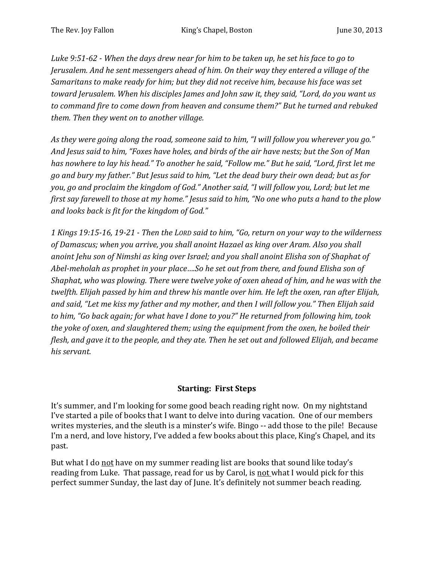*Luke 9:51-62 - When the days drew near for him to be taken up, he set his face to go to Jerusalem. And he sent messengers ahead of him. On their way they entered a village of the Samaritans to make ready for him; but they did not receive him, because his face was set toward Jerusalem. When his disciples James and John saw it, they said, "Lord, do you want us to command fire to come down from heaven and consume them?" But he turned and rebuked them. Then they went on to another village.*

*As they were going along the road, someone said to him, "I will follow you wherever you go." And Jesus said to him, "Foxes have holes, and birds of the air have nests; but the Son of Man*  has nowhere to lay his head." To another he said, "Follow me." But he said, "Lord, first let me *go and bury my father." But Jesus said to him, "Let the dead bury their own dead; but as for you, go and proclaim the kingdom of God." Another said, "I will follow you, Lord; but let me first say farewell to those at my home." Jesus said to him, "No one who puts a hand to the plow and looks back is fit for the kingdom of God."*

*1 Kings 19:15-16, 19-21 - Then the LORD said to him, "Go, return on your way to the wilderness of Damascus; when you arrive, you shall anoint Hazael as king over Aram. Also you shall anoint Jehu son of Nimshi as king over Israel; and you shall anoint Elisha son of Shaphat of Abel-meholah as prophet in your place….So he set out from there, and found Elisha son of Shaphat, who was plowing. There were twelve yoke of oxen ahead of him, and he was with the twelfth. Elijah passed by him and threw his mantle over him. He left the oxen, ran after Elijah, and said, "Let me kiss my father and my mother, and then I will follow you." Then Elijah said to him, "Go back again; for what have I done to you?" He returned from following him, took the yoke of oxen, and slaughtered them; using the equipment from the oxen, he boiled their flesh, and gave it to the people, and they ate. Then he set out and followed Elijah, and became his servant.*

## **Starting: First Steps**

It's summer, and I'm looking for some good beach reading right now. On my nightstand I've started a pile of books that I want to delve into during vacation. One of our members writes mysteries, and the sleuth is a minster's wife. Bingo -- add those to the pile! Because I'm a nerd, and love history, I've added a few books about this place, King's Chapel, and its past.

But what I do not have on my summer reading list are books that sound like today's reading from Luke. That passage, read for us by Carol, is not what I would pick for this perfect summer Sunday, the last day of June. It's definitely not summer beach reading.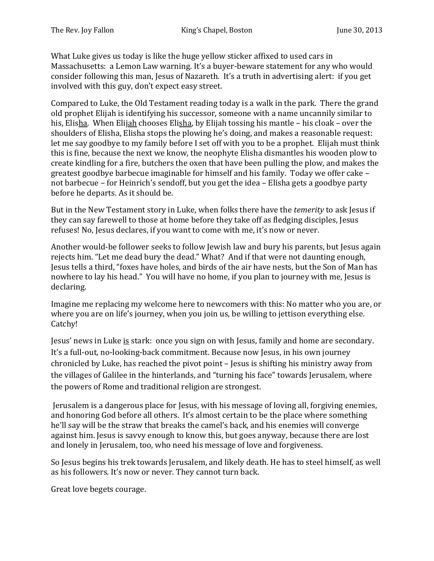What Luke gives us today is like the huge yellow sticker affixed to used cars in Massachusetts: a Lemon Law warning. It's a buyer-beware statement for any who would consider following this man, Jesus of Nazareth. It's a truth in advertising alert: if you get involved with this guy, don't expect easy street.

Compared to Luke, the Old Testament reading today is a walk in the park. There the grand old prophet Elijah is identifying his successor, someone with a name uncannily similar to his, Elisha. When Elijah chooses Elisha, by Elijah tossing his mantle – his cloak – over the shoulders of Elisha, Elisha stops the plowing he's doing, and makes a reasonable request: let me say goodbye to my family before I set off with you to be a prophet. Elijah must think this is fine, because the next we know, the neophyte Elisha dismantles his wooden plow to create kindling for a fire, butchers the oxen that have been pulling the plow, and makes the greatest goodbye barbecue imaginable for himself and his family. Today we offer cake – not barbecue – for Heinrich's sendoff, but you get the idea – Elisha gets a goodbye party before he departs. As it should be.

But in the New Testament story in Luke, when folks there have the *temerity* to ask Jesus if they can say farewell to those at home before they take off as fledging disciples, Jesus refuses! No, Jesus declares, if you want to come with me, it's now or never.

Another would-be follower seeks to follow Jewish law and bury his parents, but Jesus again rejects him. "Let me dead bury the dead." What? And if that were not daunting enough, Jesus tells a third, "foxes have holes, and birds of the air have nests, but the Son of Man has nowhere to lay his head." You will have no home, if you plan to journey with me, Jesus is declaring.

Imagine me replacing my welcome here to newcomers with this: No matter who you are, or where you are on life's journey, when you join us, be willing to jettison everything else. Catchy!

Jesus' news in Luke is stark: once you sign on with Jesus, family and home are secondary. It's a full-out, no-looking-back commitment. Because now Jesus, in his own journey chronicled by Luke, has reached the pivot point – Jesus is shifting his ministry away from the villages of Galilee in the hinterlands, and "turning his face" towards Jerusalem, where the powers of Rome and traditional religion are strongest.

Jerusalem is a dangerous place for Jesus, with his message of loving all, forgiving enemies, and honoring God before all others. It's almost certain to be the place where something he'll say will be the straw that breaks the camel's back, and his enemies will converge against him. Jesus is savvy enough to know this, but goes anyway, because there are lost and lonely in Jerusalem, too, who need his message of love and forgiveness.

So Jesus begins his trek towards Jerusalem, and likely death. He has to steel himself, as well as his followers. It's now or never. They cannot turn back.

Great love begets courage.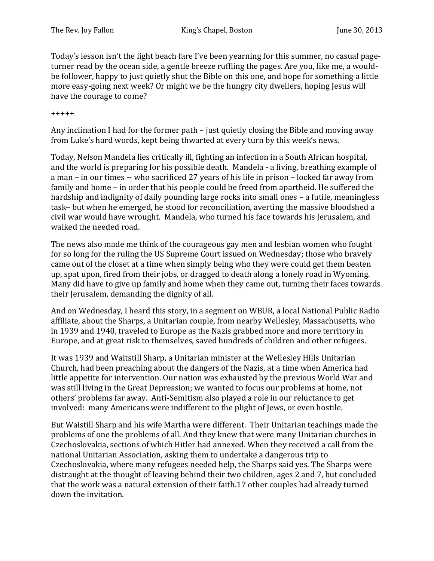Today's lesson isn't the light beach fare I've been yearning for this summer, no casual pageturner read by the ocean side, a gentle breeze ruffling the pages. Are you, like me, a wouldbe follower, happy to just quietly shut the Bible on this one, and hope for something a little more easy-going next week? Or might we be the hungry city dwellers, hoping Jesus will have the courage to come?

+++++

Any inclination I had for the former path – just quietly closing the Bible and moving away from Luke's hard words, kept being thwarted at every turn by this week's news.

Today, Nelson Mandela lies critically ill, fighting an infection in a South African hospital, and the world is preparing for his possible death. Mandela - a living, breathing example of a man – in our times -- who sacrificed 27 years of his life in prison – locked far away from family and home – in order that his people could be freed from apartheid. He suffered the hardship and indignity of daily pounding large rocks into small ones – a futile, meaningless task– but when he emerged, he stood for reconciliation, averting the massive bloodshed a civil war would have wrought. Mandela, who turned his face towards his Jerusalem, and walked the needed road.

The news also made me think of the courageous gay men and lesbian women who fought for so long for the ruling the US Supreme Court issued on Wednesday; those who bravely came out of the closet at a time when simply being who they were could get them beaten up, spat upon, fired from their jobs, or dragged to death along a lonely road in Wyoming. Many did have to give up family and home when they came out, turning their faces towards their Jerusalem, demanding the dignity of all.

And on Wednesday, I heard this story, in a segment on WBUR, a local National Public Radio affiliate, about the Sharps, a Unitarian couple, from nearby Wellesley, Massachusetts, who in 1939 and 1940, traveled to Europe as the Nazis grabbed more and more territory in Europe, and at great risk to themselves, saved hundreds of children and other refugees.

It was 1939 and Waitstill Sharp, a Unitarian minister at the Wellesley Hills Unitarian Church, had been preaching about the dangers of the Nazis, at a time when America had little appetite for intervention. Our nation was exhausted by the previous World War and was still living in the Great Depression; we wanted to focus our problems at home, not others' problems far away. Anti-Semitism also played a role in our reluctance to get involved: many Americans were indifferent to the plight of Jews, or even hostile.

But Waistill Sharp and his wife Martha were different. Their Unitarian teachings made the problems of one the problems of all. And they knew that were many Unitarian churches in Czechoslovakia, sections of which Hitler had annexed. When they received a call from the national Unitarian Association, asking them to undertake a dangerous trip to Czechoslovakia, where many refugees needed help, the Sharps said yes. The Sharps were distraught at the thought of leaving behind their two children, ages 2 and 7, but concluded that the work was a natural extension of their faith.17 other couples had already turned down the invitation.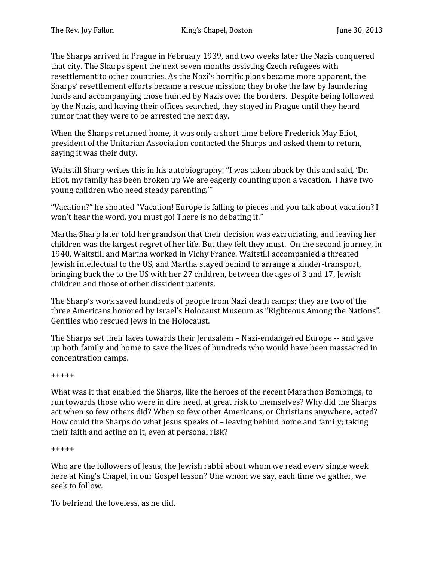The Sharps arrived in Prague in February 1939, and two weeks later the Nazis conquered that city. The Sharps spent the next seven months assisting Czech refugees with resettlement to other countries. As the Nazi's horrific plans became more apparent, the Sharps' resettlement efforts became a rescue mission; they broke the law by laundering funds and accompanying those hunted by Nazis over the borders. Despite being followed by the Nazis, and having their offices searched, they stayed in Prague until they heard rumor that they were to be arrested the next day.

When the Sharps returned home, it was only a short time before Frederick May Eliot, president of the Unitarian Association contacted the Sharps and asked them to return, saying it was their duty.

Waitstill Sharp writes this in his autobiography: "I was taken aback by this and said, 'Dr. Eliot, my family has been broken up We are eagerly counting upon a vacation. I have two young children who need steady parenting.'"

"Vacation?" he shouted "Vacation! Europe is falling to pieces and you talk about vacation? I won't hear the word, you must go! There is no debating it."

Martha Sharp later told her grandson that their decision was excruciating, and leaving her children was the largest regret of her life. But they felt they must. On the second journey, in 1940, Waitstill and Martha worked in Vichy France. Waitstill accompanied a threated Jewish intellectual to the US, and Martha stayed behind to arrange a kinder-transport, bringing back the to the US with her 27 children, between the ages of 3 and 17, Jewish children and those of other dissident parents.

The Sharp's work saved hundreds of people from Nazi death camps; they are two of the three Americans honored by Israel's Holocaust Museum as "Righteous Among the Nations". Gentiles who rescued Jews in the Holocaust.

The Sharps set their faces towards their Jerusalem – Nazi-endangered Europe -- and gave up both family and home to save the lives of hundreds who would have been massacred in concentration camps.

+++++

What was it that enabled the Sharps, like the heroes of the recent Marathon Bombings, to run towards those who were in dire need, at great risk to themselves? Why did the Sharps act when so few others did? When so few other Americans, or Christians anywhere, acted? How could the Sharps do what Jesus speaks of – leaving behind home and family; taking their faith and acting on it, even at personal risk?

+++++

Who are the followers of Jesus, the Jewish rabbi about whom we read every single week here at King's Chapel, in our Gospel lesson? One whom we say, each time we gather, we seek to follow.

To befriend the loveless, as he did.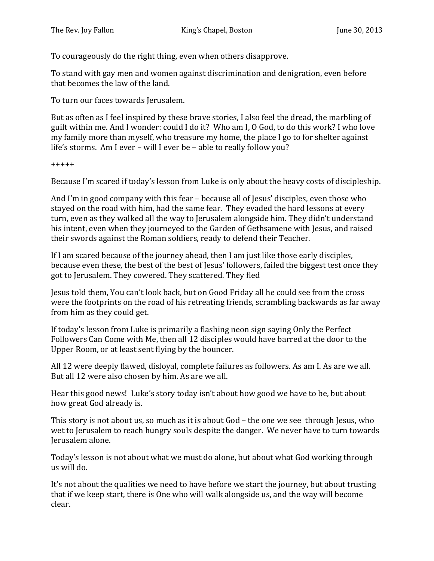To courageously do the right thing, even when others disapprove.

To stand with gay men and women against discrimination and denigration, even before that becomes the law of the land.

To turn our faces towards Jerusalem.

But as often as I feel inspired by these brave stories, I also feel the dread, the marbling of guilt within me. And I wonder: could I do it? Who am I, O God, to do this work? I who love my family more than myself, who treasure my home, the place I go to for shelter against life's storms. Am I ever – will I ever be – able to really follow you?

+++++

Because I'm scared if today's lesson from Luke is only about the heavy costs of discipleship.

And I'm in good company with this fear – because all of Jesus' disciples, even those who stayed on the road with him, had the same fear. They evaded the hard lessons at every turn, even as they walked all the way to Jerusalem alongside him. They didn't understand his intent, even when they journeyed to the Garden of Gethsamene with Jesus, and raised their swords against the Roman soldiers, ready to defend their Teacher.

If I am scared because of the journey ahead, then I am just like those early disciples, because even these, the best of the best of Jesus' followers, failed the biggest test once they got to Jerusalem. They cowered. They scattered. They fled

Jesus told them, You can't look back, but on Good Friday all he could see from the cross were the footprints on the road of his retreating friends, scrambling backwards as far away from him as they could get.

If today's lesson from Luke is primarily a flashing neon sign saying Only the Perfect Followers Can Come with Me, then all 12 disciples would have barred at the door to the Upper Room, or at least sent flying by the bouncer.

All 12 were deeply flawed, disloyal, complete failures as followers. As am I. As are we all. But all 12 were also chosen by him. As are we all.

Hear this good news! Luke's story today isn't about how good we have to be, but about how great God already is.

This story is not about us, so much as it is about God – the one we see through Jesus, who wet to Jerusalem to reach hungry souls despite the danger. We never have to turn towards Jerusalem alone.

Today's lesson is not about what we must do alone, but about what God working through us will do.

It's not about the qualities we need to have before we start the journey, but about trusting that if we keep start, there is One who will walk alongside us, and the way will become clear.